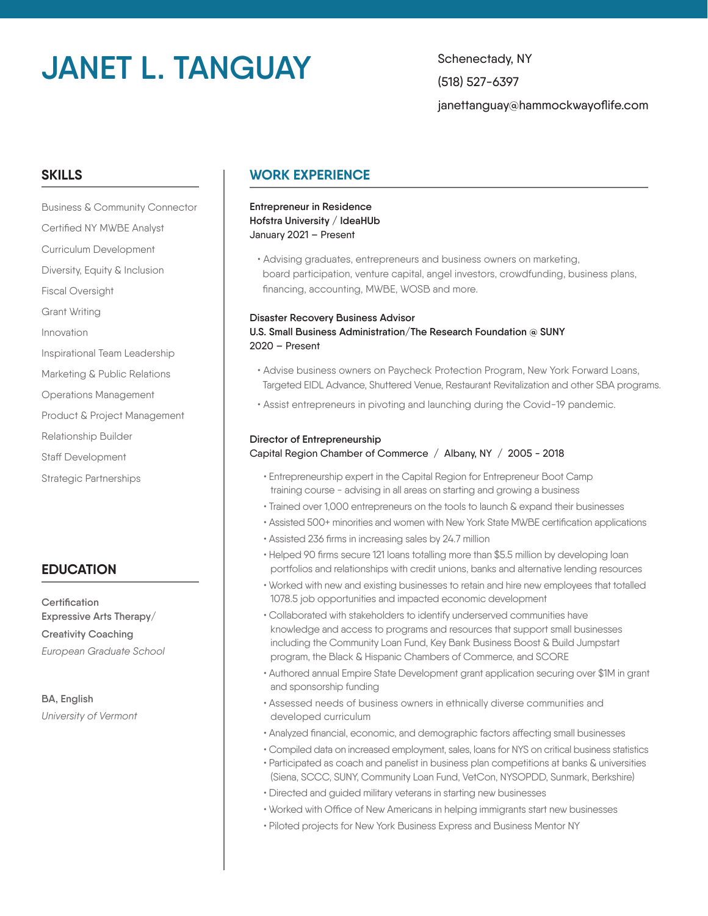# **JANET L. TANGUAY** Schenectady, NY

(518) 527-6397 janettanguay@hammockwayoflife.com

## **SKILLS**

Business & Community Connector Certified NY MWBE Analyst Curriculum Development Diversity, Equity & Inclusion Fiscal Oversight Grant Writing Innovation Inspirational Team Leadership Marketing & Public Relations Operations Management Product & Project Management Relationship Builder Staff Development Strategic Partnerships

# **EDUCATION**

**Certification Expressive Arts Therapy/ Creativity Coaching** *European Graduate School*

**BA, English** *University of Vermont*

# **WORK EXPERIENCE**

#### **Entrepreneur in Residence Hofstra University / IdeaHUb** January 2021 – Present

 • Advising graduates, entrepreneurs and business owners on marketing, board participation, venture capital, angel investors, crowdfunding, business plans, financing, accounting, MWBE, WOSB and more.

#### **Disaster Recovery Business Advisor U.S. Small Business Administration/The Research Foundation @ SUNY** 2020 – Present

- Advise business owners on Paycheck Protection Program, New York Forward Loans, Targeted EIDL Advance, Shuttered Venue, Restaurant Revitalization and other SBA programs.
- Assist entrepreneurs in pivoting and launching during the Covid-19 pandemic.

#### **Director of Entrepreneurship**

#### Capital Region Chamber of Commerce / Albany, NY / 2005 - 2018

- Entrepreneurship expert in the Capital Region for Entrepreneur Boot Camp training course - advising in all areas on starting and growing a business
- Trained over 1,000 entrepreneurs on the tools to launch & expand their businesses
- Assisted 500+ minorities and women with New York State MWBE certification applications
- Assisted 236 firms in increasing sales by 24.7 million
- Helped 90 firms secure 121 loans totalling more than \$5.5 million by developing loan portfolios and relationships with credit unions, banks and alternative lending resources
- Worked with new and existing businesses to retain and hire new employees that totalled 1078.5 job opportunities and impacted economic development
- Collaborated with stakeholders to identify underserved communities have knowledge and access to programs and resources that support small businesses including the Community Loan Fund, Key Bank Business Boost & Build Jumpstart program, the Black & Hispanic Chambers of Commerce, and SCORE
- Authored annual Empire State Development grant application securing over \$1M in grant and sponsorship funding
- Assessed needs of business owners in ethnically diverse communities and developed curriculum
- Analyzed financial, economic, and demographic factors affecting small businesses
- Compiled data on increased employment, sales, loans for NYS on critical business statistics
- Participated as coach and panelist in business plan competitions at banks & universities (Siena, SCCC, SUNY, Community Loan Fund, VetCon, NYSOPDD, Sunmark, Berkshire)
- Directed and guided military veterans in starting new businesses
- Worked with Office of New Americans in helping immigrants start new businesses
- Piloted projects for New York Business Express and Business Mentor NY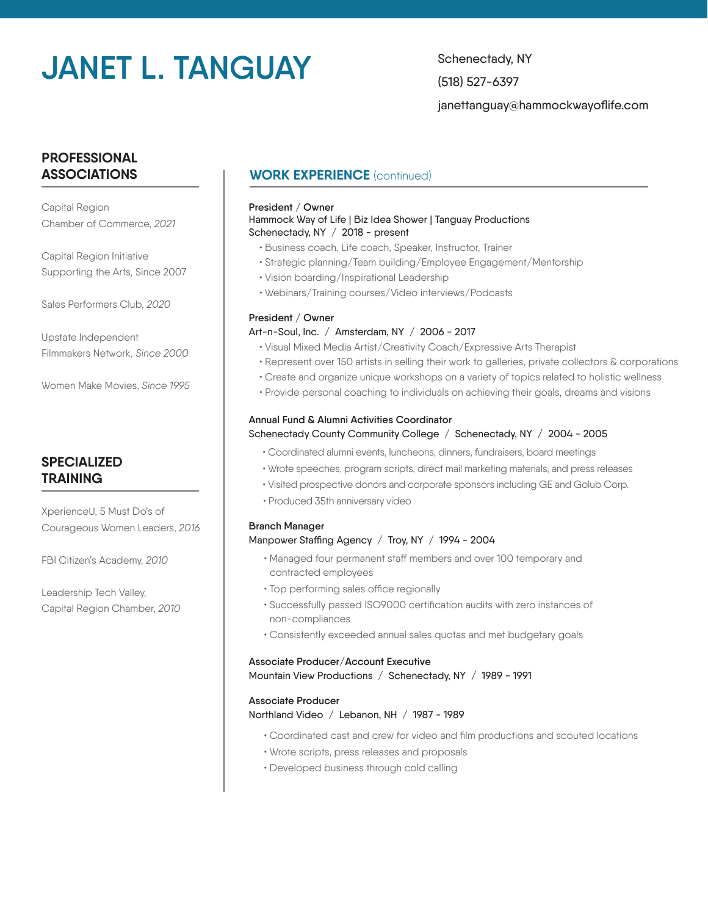# **JANET L. TANGUAY** Schenectady, NY

(518) 527-6397 janettanguay@hammockwayoflife.com

# **PROFESSIONAL ASSOCIATIONS**

Capital Region Chamber of Commerce, *2021* 

Capital Region Initiative Supporting the Arts, Since 2007

Sales Performers Club, *2020*

Upstate Independent Filmmakers Network, *Since 2000*

Women Make Movies, *Since 1995*

# **SPECIALIZED TRAINING**

XperienceU, 5 Must Do's of Courageous Women Leaders, *2016*

FBI Citizen's Academy, *2010*

Leadership Tech Valley, Capital Region Chamber, *2010*

# **WORK EXPERIENCE** (continued)

#### **President / Owner** Hammock Way of Life | Biz Idea Shower | Tanguay Productions Schenectady, NY / 2018 - present

- Business coach, Life coach, Speaker, Instructor, Trainer
- Strategic planning/Team building/Employee Engagement/Mentorship
- Vision boarding/Inspirational Leadership
- Webinars/Training courses/Video interviews/Podcasts

#### **President / Owner**

#### Art-n-Soul, Inc. / Amsterdam, NY / 2006 - 2017

- Visual Mixed Media Artist/Creativity Coach/Expressive Arts Therapist
- Represent over 150 artists in selling their work to galleries, private collectors & corporations
- Create and organize unique workshops on a variety of topics related to holistic wellness
- Provide personal coaching to individuals on achieving their goals, dreams and visions

### **Annual Fund & Alumni Activities Coordinator**

#### Schenectady County Community College / Schenectady, NY / 2004 - 2005

- Coordinated alumni events, luncheons, dinners, fundraisers, board meetings
- Wrote speeches, program scripts, direct mail marketing materials, and press releases
- Visited prospective donors and corporate sponsors including GE and Golub Corp.
- Produced 35th anniversary video

#### **Branch Manager**

#### Manpower Staffing Agency / Troy, NY / 1994 - 2004

- Managed four permanent staff members and over 100 temporary and contracted employees
- Top performing sales office regionally
- Successfully passed ISO9000 certification audits with zero instances of non-compliances
- Consistently exceeded annual sales quotas and met budgetary goals

### **Associate Producer/Account Executive** Mountain View Productions / Schenectady, NY / 1989 - 1991

#### **Associate Producer**

Northland Video / Lebanon, NH / 1987 - 1989

- Coordinated cast and crew for video and film productions and scouted locations
- Wrote scripts, press releases and proposals
- Developed business through cold calling